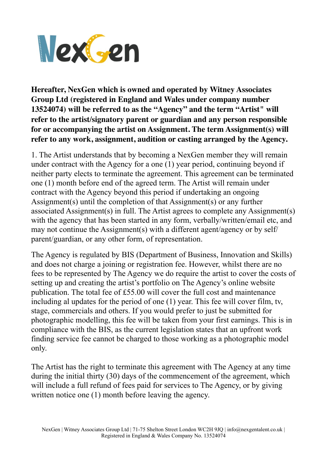

**Hereafter, NexGen which is owned and operated by Witney Associates Group Ltd (registered in England and Wales under company number 13524074) will be referred to as the "Agency" and the term "Artist" will refer to the artist/signatory parent or guardian and any person responsible for or accompanying the artist on Assignment. The term Assignment(s) will refer to any work, assignment, audition or casting arranged by the Agency.** 

1. The Artist understands that by becoming a NexGen member they will remain under contract with the Agency for a one (1) year period, continuing beyond if neither party elects to terminate the agreement. This agreement can be terminated one (1) month before end of the agreed term. The Artist will remain under contract with the Agency beyond this period if undertaking an ongoing Assignment(s) until the completion of that Assignment(s) or any further associated Assignment(s) in full. The Artist agrees to complete any Assignment(s) with the agency that has been started in any form, verbally/written/email etc, and may not continue the Assignment(s) with a different agent/agency or by self/ parent/guardian, or any other form, of representation.

The Agency is regulated by BIS (Department of Business, Innovation and Skills) and does not charge a joining or registration fee. However, whilst there are no fees to be represented by The Agency we do require the artist to cover the costs of setting up and creating the artist's portfolio on The Agency's online website publication. The total fee of £55.00 will cover the full cost and maintenance including al updates for the period of one (1) year. This fee will cover film, tv, stage, commercials and others. If you would prefer to just be submitted for photographic modelling, this fee will be taken from your first earnings. This is in compliance with the BIS, as the current legislation states that an upfront work finding service fee cannot be charged to those working as a photographic model only.

The Artist has the right to terminate this agreement with The Agency at any time during the initial thirty (30) days of the commencement of the agreement, which will include a full refund of fees paid for services to The Agency, or by giving written notice one (1) month before leaving the agency.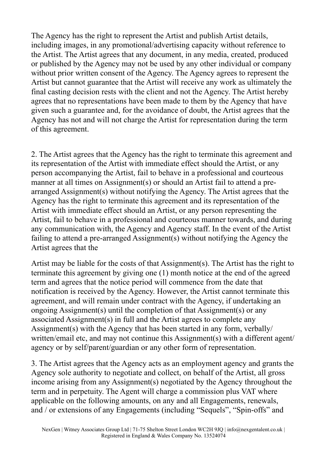The Agency has the right to represent the Artist and publish Artist details, including images, in any promotional/advertising capacity without reference to the Artist. The Artist agrees that any document, in any media, created, produced or published by the Agency may not be used by any other individual or company without prior written consent of the Agency. The Agency agrees to represent the Artist but cannot guarantee that the Artist will receive any work as ultimately the final casting decision rests with the client and not the Agency. The Artist hereby agrees that no representations have been made to them by the Agency that have given such a guarantee and, for the avoidance of doubt, the Artist agrees that the Agency has not and will not charge the Artist for representation during the term of this agreement.

2. The Artist agrees that the Agency has the right to terminate this agreement and its representation of the Artist with immediate effect should the Artist, or any person accompanying the Artist, fail to behave in a professional and courteous manner at all times on Assignment(s) or should an Artist fail to attend a prearranged Assignment(s) without notifying the Agency. The Artist agrees that the Agency has the right to terminate this agreement and its representation of the Artist with immediate effect should an Artist, or any person representing the Artist, fail to behave in a professional and courteous manner towards, and during any communication with, the Agency and Agency staff. In the event of the Artist failing to attend a pre-arranged Assignment(s) without notifying the Agency the Artist agrees that the

Artist may be liable for the costs of that Assignment(s). The Artist has the right to terminate this agreement by giving one (1) month notice at the end of the agreed term and agrees that the notice period will commence from the date that notification is received by the Agency. However, the Artist cannot terminate this agreement, and will remain under contract with the Agency, if undertaking an ongoing Assignment(s) until the completion of that Assignment(s) or any associated Assignment(s) in full and the Artist agrees to complete any Assignment(s) with the Agency that has been started in any form, verbally/ written/email etc, and may not continue this Assignment(s) with a different agent/ agency or by self/parent/guardian or any other form of representation.

3. The Artist agrees that the Agency acts as an employment agency and grants the Agency sole authority to negotiate and collect, on behalf of the Artist, all gross income arising from any Assignment(s) negotiated by the Agency throughout the term and in perpetuity. The Agent will charge a commission plus VAT where applicable on the following amounts, on any and all Engagements, renewals, and / or extensions of any Engagements (including "Sequels", "Spin-offs" and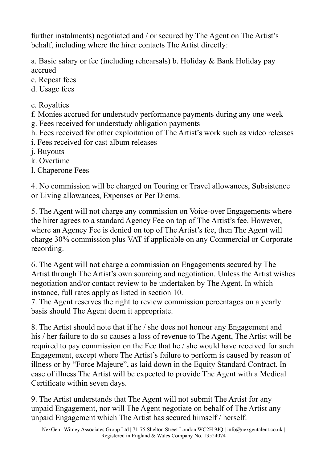further instalments) negotiated and / or secured by The Agent on The Artist's behalf, including where the hirer contacts The Artist directly:

a. Basic salary or fee (including rehearsals) b. Holiday & Bank Holiday pay accrued

- c. Repeat fees
- d. Usage fees
- e. Royalties
- f. Monies accrued for understudy performance payments during any one week
- g. Fees received for understudy obligation payments
- h. Fees received for other exploitation of The Artist's work such as video releases
- i. Fees received for cast album releases
- j. Buyouts
- k. Overtime
- l. Chaperone Fees

4. No commission will be charged on Touring or Travel allowances, Subsistence or Living allowances, Expenses or Per Diems.

5. The Agent will not charge any commission on Voice-over Engagements where the hirer agrees to a standard Agency Fee on top of The Artist's fee. However, where an Agency Fee is denied on top of The Artist's fee, then The Agent will charge 30% commission plus VAT if applicable on any Commercial or Corporate recording.

6. The Agent will not charge a commission on Engagements secured by The Artist through The Artist's own sourcing and negotiation. Unless the Artist wishes negotiation and/or contact review to be undertaken by The Agent. In which instance, full rates apply as listed in section 10.

7. The Agent reserves the right to review commission percentages on a yearly basis should The Agent deem it appropriate.

8. The Artist should note that if he / she does not honour any Engagement and his / her failure to do so causes a loss of revenue to The Agent, The Artist will be required to pay commission on the Fee that he / she would have received for such Engagement, except where The Artist's failure to perform is caused by reason of illness or by "Force Majeure", as laid down in the Equity Standard Contract. In case of illness The Artist will be expected to provide The Agent with a Medical Certificate within seven days.

9. The Artist understands that The Agent will not submit The Artist for any unpaid Engagement, nor will The Agent negotiate on behalf of The Artist any unpaid Engagement which The Artist has secured himself / herself.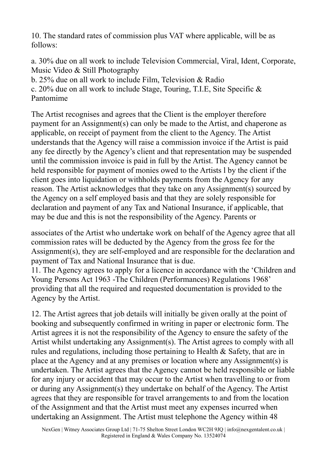10. The standard rates of commission plus VAT where applicable, will be as follows:

a. 30% due on all work to include Television Commercial, Viral, Ident, Corporate, Music Video & Still Photography

b. 25% due on all work to include Film, Television & Radio

c. 20% due on all work to include Stage, Touring, T.I.E, Site Specific & Pantomime

The Artist recognises and agrees that the Client is the employer therefore payment for an Assignment(s) can only be made to the Artist, and chaperone as applicable, on receipt of payment from the client to the Agency. The Artist understands that the Agency will raise a commission invoice if the Artist is paid any fee directly by the Agency's client and that representation may be suspended until the commission invoice is paid in full by the Artist. The Agency cannot be held responsible for payment of monies owed to the Artists l by the client if the client goes into liquidation or withholds payments from the Agency for any reason. The Artist acknowledges that they take on any Assignment(s) sourced by the Agency on a self employed basis and that they are solely responsible for declaration and payment of any Tax and National Insurance, if applicable, that may be due and this is not the responsibility of the Agency. Parents or

associates of the Artist who undertake work on behalf of the Agency agree that all commission rates will be deducted by the Agency from the gross fee for the Assignment(s), they are self-employed and are responsible for the declaration and payment of Tax and National Insurance that is due.

11. The Agency agrees to apply for a licence in accordance with the 'Children and Young Persons Act 1963 -The Children (Performances) Regulations 1968' providing that all the required and requested documentation is provided to the Agency by the Artist.

12. The Artist agrees that job details will initially be given orally at the point of booking and subsequently confirmed in writing in paper or electronic form. The Artist agrees it is not the responsibility of the Agency to ensure the safety of the Artist whilst undertaking any Assignment(s). The Artist agrees to comply with all rules and regulations, including those pertaining to Health & Safety, that are in place at the Agency and at any premises or location where any Assignment(s) is undertaken. The Artist agrees that the Agency cannot be held responsible or liable for any injury or accident that may occur to the Artist when travelling to or from or during any Assignment(s) they undertake on behalf of the Agency. The Artist agrees that they are responsible for travel arrangements to and from the location of the Assignment and that the Artist must meet any expenses incurred when undertaking an Assignment. The Artist must telephone the Agency within 48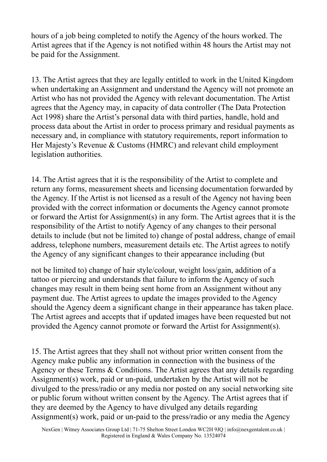hours of a job being completed to notify the Agency of the hours worked. The Artist agrees that if the Agency is not notified within 48 hours the Artist may not be paid for the Assignment.

13. The Artist agrees that they are legally entitled to work in the United Kingdom when undertaking an Assignment and understand the Agency will not promote an Artist who has not provided the Agency with relevant documentation. The Artist agrees that the Agency may, in capacity of data controller (The Data Protection Act 1998) share the Artist's personal data with third parties, handle, hold and process data about the Artist in order to process primary and residual payments as necessary and, in compliance with statutory requirements, report information to Her Majesty's Revenue & Customs (HMRC) and relevant child employment legislation authorities.

14. The Artist agrees that it is the responsibility of the Artist to complete and return any forms, measurement sheets and licensing documentation forwarded by the Agency. If the Artist is not licensed as a result of the Agency not having been provided with the correct information or documents the Agency cannot promote or forward the Artist for Assignment(s) in any form. The Artist agrees that it is the responsibility of the Artist to notify Agency of any changes to their personal details to include (but not be limited to) change of postal address, change of email address, telephone numbers, measurement details etc. The Artist agrees to notify the Agency of any significant changes to their appearance including (but

not be limited to) change of hair style/colour, weight loss/gain, addition of a tattoo or piercing and understands that failure to inform the Agency of such changes may result in them being sent home from an Assignment without any payment due. The Artist agrees to update the images provided to the Agency should the Agency deem a significant change in their appearance has taken place. The Artist agrees and accepts that if updated images have been requested but not provided the Agency cannot promote or forward the Artist for Assignment(s).

15. The Artist agrees that they shall not without prior written consent from the Agency make public any information in connection with the business of the Agency or these Terms & Conditions. The Artist agrees that any details regarding Assignment(s) work, paid or un-paid, undertaken by the Artist will not be divulged to the press/radio or any media nor posted on any social networking site or public forum without written consent by the Agency. The Artist agrees that if they are deemed by the Agency to have divulged any details regarding Assignment(s) work, paid or un-paid to the press/radio or any media the Agency